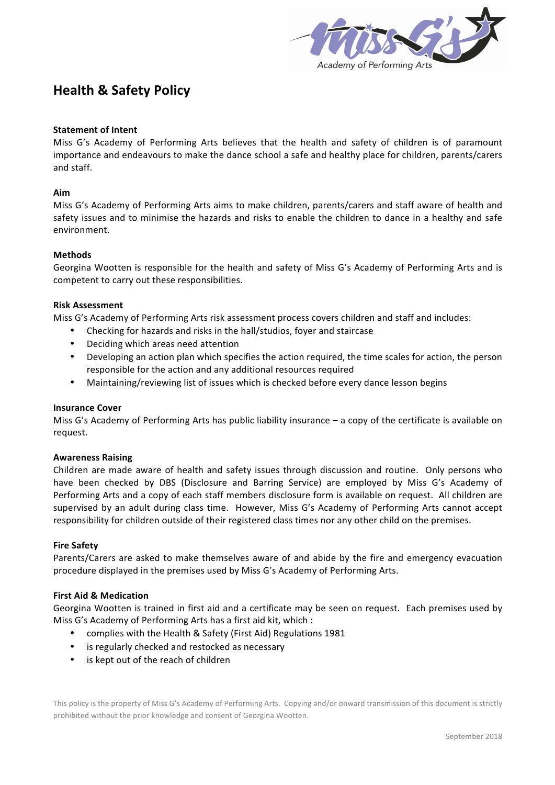

# **Health & Safety Policy**

## **Statement of Intent**

Miss G's Academy of Performing Arts believes that the health and safety of children is of paramount importance and endeavours to make the dance school a safe and healthy place for children, parents/carers and staff.

#### **Aim**

Miss G's Academy of Performing Arts aims to make children, parents/carers and staff aware of health and safety issues and to minimise the hazards and risks to enable the children to dance in a healthy and safe environment.

## **Methods**

Georgina Wootten is responsible for the health and safety of Miss G's Academy of Performing Arts and is competent to carry out these responsibilities.

## **Risk Assessment**

Miss G's Academy of Performing Arts risk assessment process covers children and staff and includes:

- Checking for hazards and risks in the hall/studios, foyer and staircase
- Deciding which areas need attention
- Developing an action plan which specifies the action required, the time scales for action, the person responsible for the action and any additional resources required
- Maintaining/reviewing list of issues which is checked before every dance lesson begins

#### **Insurance Cover**

Miss  $G's$  Academy of Performing Arts has public liability insurance  $-$  a copy of the certificate is available on request. 

#### **Awareness Raising**

Children are made aware of health and safety issues through discussion and routine. Only persons who have been checked by DBS (Disclosure and Barring Service) are employed by Miss G's Academy of Performing Arts and a copy of each staff members disclosure form is available on request. All children are supervised by an adult during class time. However, Miss G's Academy of Performing Arts cannot accept responsibility for children outside of their registered class times nor any other child on the premises.

#### **Fire Safety**

Parents/Carers are asked to make themselves aware of and abide by the fire and emergency evacuation procedure displayed in the premises used by Miss G's Academy of Performing Arts.

#### **First Aid & Medication**

Georgina Wootten is trained in first aid and a certificate may be seen on request. Each premises used by Miss G's Academy of Performing Arts has a first aid kit, which :

- complies with the Health & Safety (First Aid) Regulations 1981
- is regularly checked and restocked as necessary
- is kept out of the reach of children

This policy is the property of Miss G's Academy of Performing Arts. Copying and/or onward transmission of this document is strictly prohibited without the prior knowledge and consent of Georgina Wootten.